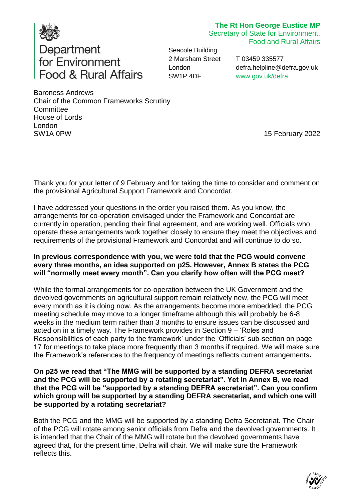

# **The Rt Hon George Eustice MP**

Secretary of State for Environment, Food and Rural Affairs

Seacole Building 2 Marsham Street London SW1P 4DF

T 03459 335577 [defra.helpline@defra.gov.uk](mailto:defra.helpline@defra.gov.uk) [www.gov.uk/defra](http://www.gov.uk/defra)

Baroness Andrews Chair of the Common Frameworks Scrutiny **Committee** House of Lords London SW1A 0PW 15 February 2022

Thank you for your letter of 9 February and for taking the time to consider and comment on the provisional Agricultural Support Framework and Concordat.

I have addressed your questions in the order you raised them. As you know, the arrangements for co-operation envisaged under the Framework and Concordat are currently in operation, pending their final agreement, and are working well. Officials who operate these arrangements work together closely to ensure they meet the objectives and requirements of the provisional Framework and Concordat and will continue to do so.

#### **In previous correspondence with you, we were told that the PCG would convene every three months, an idea supported on p25. However, Annex B states the PCG will "normally meet every month". Can you clarify how often will the PCG meet?**

While the formal arrangements for co-operation between the UK Government and the devolved governments on agricultural support remain relatively new, the PCG will meet every month as it is doing now. As the arrangements become more embedded, the PCG meeting schedule may move to a longer timeframe although this will probably be 6-8 weeks in the medium term rather than 3 months to ensure issues can be discussed and acted on in a timely way. The Framework provides in Section 9 – 'Roles and Responsibilities of each party to the framework' under the 'Officials' sub-section on page 17 for meetings to take place more frequently than 3 months if required. We will make sure the Framework's references to the frequency of meetings reflects current arrangements**.**

**On p25 we read that "The MMG will be supported by a standing DEFRA secretariat and the PCG will be supported by a rotating secretariat". Yet in Annex B, we read that the PCG will be "supported by a standing DEFRA secretariat". Can you confirm which group will be supported by a standing DEFRA secretariat, and which one will be supported by a rotating secretariat?**

Both the PCG and the MMG will be supported by a standing Defra Secretariat. The Chair of the PCG will rotate among senior officials from Defra and the devolved governments. It is intended that the Chair of the MMG will rotate but the devolved governments have agreed that, for the present time, Defra will chair. We will make sure the Framework reflects this.

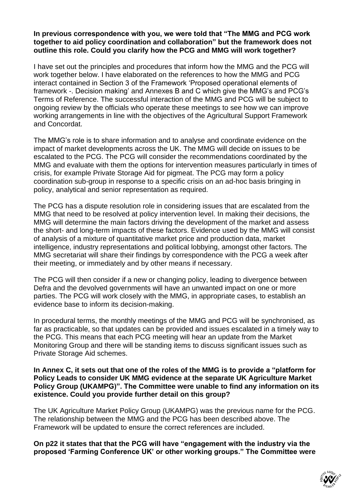## **In previous correspondence with you, we were told that "The MMG and PCG work together to aid policy coordination and collaboration" but the framework does not outline this role. Could you clarify how the PCG and MMG will work together?**

I have set out the principles and procedures that inform how the MMG and the PCG will work together below. I have elaborated on the references to how the MMG and PCG interact contained in Section 3 of the Framework 'Proposed operational elements of framework -. Decision making' and Annexes B and C which give the MMG's and PCG's Terms of Reference. The successful interaction of the MMG and PCG will be subject to ongoing review by the officials who operate these meetings to see how we can improve working arrangements in line with the objectives of the Agricultural Support Framework and Concordat.

The MMG's role is to share information and to analyse and coordinate evidence on the impact of market developments across the UK. The MMG will decide on issues to be escalated to the PCG. The PCG will consider the recommendations coordinated by the MMG and evaluate with them the options for intervention measures particularly in times of crisis, for example Private Storage Aid for pigmeat. The PCG may form a policy coordination sub-group in response to a specific crisis on an ad-hoc basis bringing in policy, analytical and senior representation as required.

The PCG has a dispute resolution role in considering issues that are escalated from the MMG that need to be resolved at policy intervention level. In making their decisions, the MMG will determine the main factors driving the development of the market and assess the short- and long-term impacts of these factors. Evidence used by the MMG will consist of analysis of a mixture of quantitative market price and production data, market intelligence, industry representations and political lobbying, amongst other factors. The MMG secretariat will share their findings by correspondence with the PCG a week after their meeting, or immediately and by other means if necessary.

The PCG will then consider if a new or changing policy, leading to divergence between Defra and the devolved governments will have an unwanted impact on one or more parties. The PCG will work closely with the MMG, in appropriate cases, to establish an evidence base to inform its decision-making.

In procedural terms, the monthly meetings of the MMG and PCG will be synchronised, as far as practicable, so that updates can be provided and issues escalated in a timely way to the PCG. This means that each PCG meeting will hear an update from the Market Monitoring Group and there will be standing items to discuss significant issues such as Private Storage Aid schemes.

#### **In Annex C, it sets out that one of the roles of the MMG is to provide a "platform for Policy Leads to consider UK MMG evidence at the separate UK Agriculture Market Policy Group (UKAMPG)". The Committee were unable to find any information on its existence. Could you provide further detail on this group?**

The UK Agriculture Market Policy Group (UKAMPG) was the previous name for the PCG. The relationship between the MMG and the PCG has been described above. The Framework will be updated to ensure the correct references are included.

**On p22 it states that that the PCG will have "engagement with the industry via the proposed 'Farming Conference UK' or other working groups." The Committee were** 

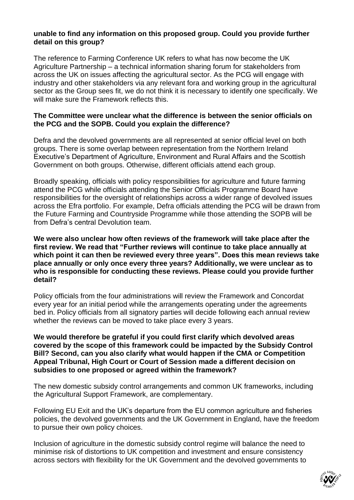# **unable to find any information on this proposed group. Could you provide further detail on this group?**

The reference to Farming Conference UK refers to what has now become the UK Agriculture Partnership – a technical information sharing forum for stakeholders from across the UK on issues affecting the agricultural sector. As the PCG will engage with industry and other stakeholders via any relevant fora and working group in the agricultural sector as the Group sees fit, we do not think it is necessary to identify one specifically. We will make sure the Framework reflects this.

## **The Committee were unclear what the difference is between the senior officials on the PCG and the SOPB. Could you explain the difference?**

Defra and the devolved governments are all represented at senior official level on both groups. There is some overlap between representation from the Northern Ireland Executive's Department of Agriculture, Environment and Rural Affairs and the Scottish Government on both groups. Otherwise, different officials attend each group.

Broadly speaking, officials with policy responsibilities for agriculture and future farming attend the PCG while officials attending the Senior Officials Programme Board have responsibilities for the oversight of relationships across a wider range of devolved issues across the Efra portfolio. For example, Defra officials attending the PCG will be drawn from the Future Farming and Countryside Programme while those attending the SOPB will be from Defra's central Devolution team.

**We were also unclear how often reviews of the framework will take place after the first review. We read that "Further reviews will continue to take place annually at which point it can then be reviewed every three years". Does this mean reviews take place annually or only once every three years? Additionally, we were unclear as to who is responsible for conducting these reviews. Please could you provide further detail?** 

Policy officials from the four administrations will review the Framework and Concordat every year for an initial period while the arrangements operating under the agreements bed in. Policy officials from all signatory parties will decide following each annual review whether the reviews can be moved to take place every 3 years.

**We would therefore be grateful if you could first clarify which devolved areas covered by the scope of this framework could be impacted by the Subsidy Control Bill? Second, can you also clarify what would happen if the CMA or Competition Appeal Tribunal, High Court or Court of Session made a different decision on subsidies to one proposed or agreed within the framework?**

The new domestic subsidy control arrangements and common UK frameworks, including the Agricultural Support Framework, are complementary.

Following EU Exit and the UK's departure from the EU common agriculture and fisheries policies, the devolved governments and the UK Government in England, have the freedom to pursue their own policy choices.

Inclusion of agriculture in the domestic subsidy control regime will balance the need to minimise risk of distortions to UK competition and investment and ensure consistency across sectors with flexibility for the UK Government and the devolved governments to